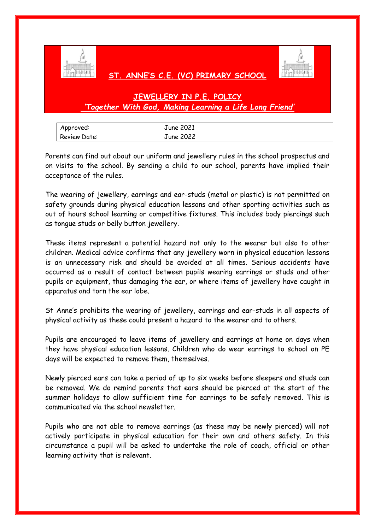

## **ST. ANNE'S C.E. (VC) PRIMARY SCHOOL**



## **JEWELLERY IN P.E. POLICY** *'Together With God, Making Learning a Life Long Friend'*

| Approved:    | June 2021        |
|--------------|------------------|
| Review Date: | <b>June 2022</b> |

Parents can find out about our uniform and jewellery rules in the school prospectus and on visits to the school. By sending a child to our school, parents have implied their acceptance of the rules.

The wearing of jewellery, earrings and ear-studs (metal or plastic) is not permitted on safety grounds during physical education lessons and other sporting activities such as out of hours school learning or competitive fixtures. This includes body piercings such as tongue studs or belly button jewellery.

These items represent a potential hazard not only to the wearer but also to other children. Medical advice confirms that any jewellery worn in physical education lessons is an unnecessary risk and should be avoided at all times. Serious accidents have occurred as a result of contact between pupils wearing earrings or studs and other pupils or equipment, thus damaging the ear, or where items of jewellery have caught in apparatus and torn the ear lobe.

St Anne's prohibits the wearing of jewellery, earrings and ear-studs in all aspects of physical activity as these could present a hazard to the wearer and to others.

Pupils are encouraged to leave items of jewellery and earrings at home on days when they have physical education lessons. Children who do wear earrings to school on PE days will be expected to remove them, themselves.

Newly pierced ears can take a period of up to six weeks before sleepers and studs can be removed. We do remind parents that ears should be pierced at the start of the summer holidays to allow sufficient time for earrings to be safely removed. This is communicated via the school newsletter.

Pupils who are not able to remove earrings (as these may be newly pierced) will not actively participate in physical education for their own and others safety. In this circumstance a pupil will be asked to undertake the role of coach, official or other learning activity that is relevant.